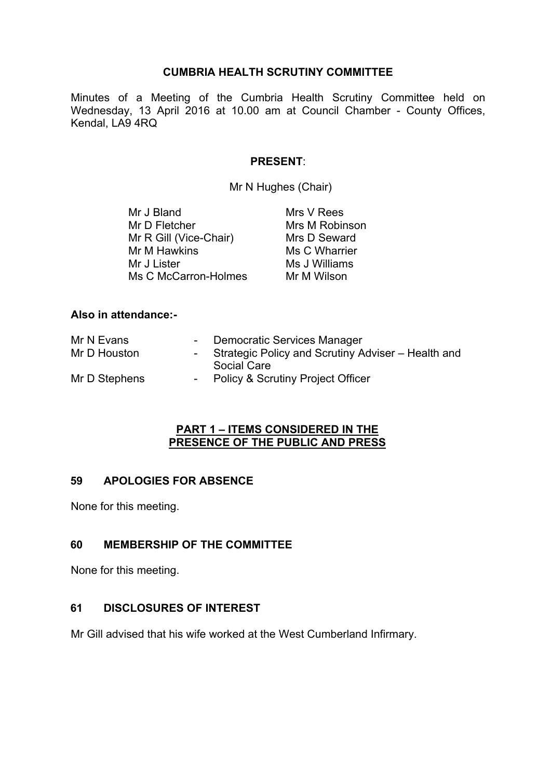### **CUMBRIA HEALTH SCRUTINY COMMITTEE**

Minutes of a Meeting of the Cumbria Health Scrutiny Committee held on Wednesday, 13 April 2016 at 10.00 am at Council Chamber - County Offices, Kendal, LA9 4RQ

#### **PRESENT**:

Mr N Hughes (Chair)

| Mr J Bland             | Mrs V Rees     |
|------------------------|----------------|
| Mr D Fletcher          | Mrs M Robinson |
| Mr R Gill (Vice-Chair) | Mrs D Seward   |
| Mr M Hawkins           | Ms C Wharrier  |
| Mr J Lister            | Ms J Williams  |
| Ms C McCarron-Holmes   | Mr M Wilson    |

#### **Also in attendance:-**

| Mr N Evans    | Democratic Services Manager                        |
|---------------|----------------------------------------------------|
| Mr D Houston  | Strategic Policy and Scrutiny Adviser - Health and |
|               | Social Care                                        |
| Mr D Stephens | <b>Policy &amp; Scrutiny Project Officer</b>       |
|               |                                                    |

#### **PART 1 – ITEMS CONSIDERED IN THE PRESENCE OF THE PUBLIC AND PRESS**

### **59 APOLOGIES FOR ABSENCE**

None for this meeting.

## **60 MEMBERSHIP OF THE COMMITTEE**

None for this meeting.

### **61 DISCLOSURES OF INTEREST**

Mr Gill advised that his wife worked at the West Cumberland Infirmary.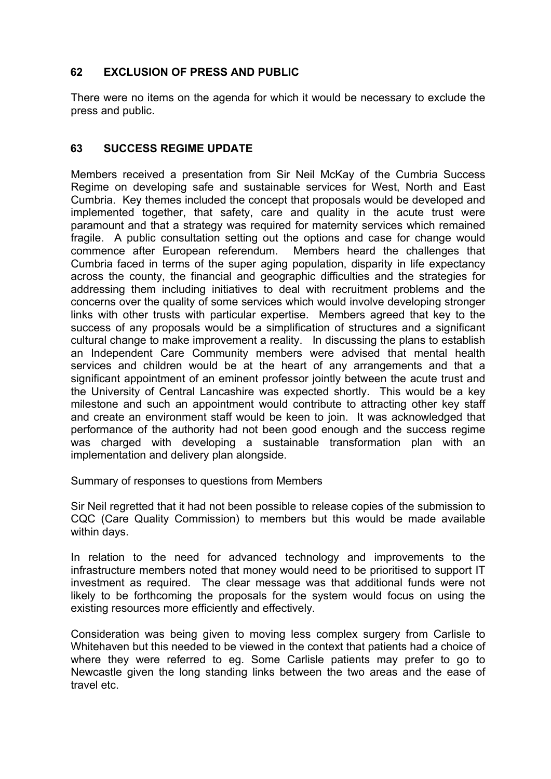# **62 EXCLUSION OF PRESS AND PUBLIC**

There were no items on the agenda for which it would be necessary to exclude the press and public.

# **63 SUCCESS REGIME UPDATE**

Members received a presentation from Sir Neil McKay of the Cumbria Success Regime on developing safe and sustainable services for West, North and East Cumbria. Key themes included the concept that proposals would be developed and implemented together, that safety, care and quality in the acute trust were paramount and that a strategy was required for maternity services which remained fragile. A public consultation setting out the options and case for change would commence after European referendum. Members heard the challenges that Cumbria faced in terms of the super aging population, disparity in life expectancy across the county, the financial and geographic difficulties and the strategies for addressing them including initiatives to deal with recruitment problems and the concerns over the quality of some services which would involve developing stronger links with other trusts with particular expertise. Members agreed that key to the success of any proposals would be a simplification of structures and a significant cultural change to make improvement a reality. In discussing the plans to establish an Independent Care Community members were advised that mental health services and children would be at the heart of any arrangements and that a significant appointment of an eminent professor jointly between the acute trust and the University of Central Lancashire was expected shortly. This would be a key milestone and such an appointment would contribute to attracting other key staff and create an environment staff would be keen to join. It was acknowledged that performance of the authority had not been good enough and the success regime was charged with developing a sustainable transformation plan with an implementation and delivery plan alongside.

Summary of responses to questions from Members

Sir Neil regretted that it had not been possible to release copies of the submission to CQC (Care Quality Commission) to members but this would be made available within days.

In relation to the need for advanced technology and improvements to the infrastructure members noted that money would need to be prioritised to support IT investment as required. The clear message was that additional funds were not likely to be forthcoming the proposals for the system would focus on using the existing resources more efficiently and effectively.

Consideration was being given to moving less complex surgery from Carlisle to Whitehaven but this needed to be viewed in the context that patients had a choice of where they were referred to eg. Some Carlisle patients may prefer to go to Newcastle given the long standing links between the two areas and the ease of travel etc.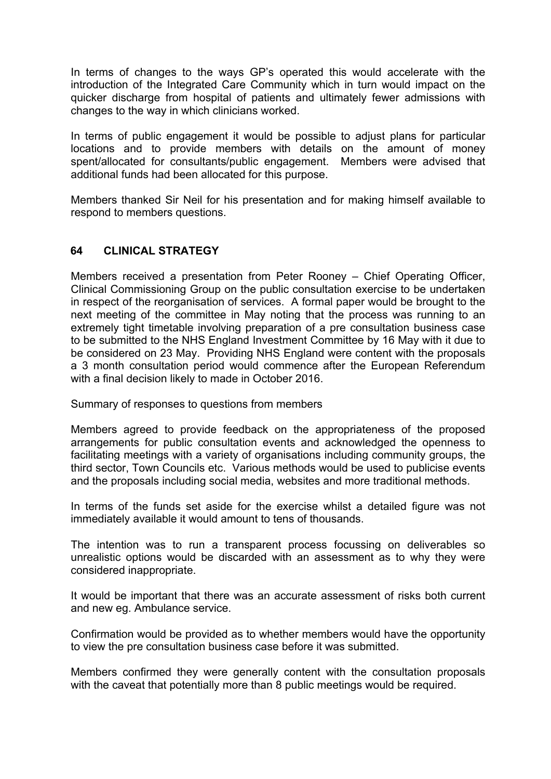In terms of changes to the ways GP's operated this would accelerate with the introduction of the Integrated Care Community which in turn would impact on the quicker discharge from hospital of patients and ultimately fewer admissions with changes to the way in which clinicians worked.

In terms of public engagement it would be possible to adjust plans for particular locations and to provide members with details on the amount of money spent/allocated for consultants/public engagement. Members were advised that additional funds had been allocated for this purpose.

Members thanked Sir Neil for his presentation and for making himself available to respond to members questions.

## **64 CLINICAL STRATEGY**

Members received a presentation from Peter Rooney – Chief Operating Officer, Clinical Commissioning Group on the public consultation exercise to be undertaken in respect of the reorganisation of services. A formal paper would be brought to the next meeting of the committee in May noting that the process was running to an extremely tight timetable involving preparation of a pre consultation business case to be submitted to the NHS England Investment Committee by 16 May with it due to be considered on 23 May. Providing NHS England were content with the proposals a 3 month consultation period would commence after the European Referendum with a final decision likely to made in October 2016.

Summary of responses to questions from members

Members agreed to provide feedback on the appropriateness of the proposed arrangements for public consultation events and acknowledged the openness to facilitating meetings with a variety of organisations including community groups, the third sector, Town Councils etc. Various methods would be used to publicise events and the proposals including social media, websites and more traditional methods.

In terms of the funds set aside for the exercise whilst a detailed figure was not immediately available it would amount to tens of thousands.

The intention was to run a transparent process focussing on deliverables so unrealistic options would be discarded with an assessment as to why they were considered inappropriate.

It would be important that there was an accurate assessment of risks both current and new eg. Ambulance service.

Confirmation would be provided as to whether members would have the opportunity to view the pre consultation business case before it was submitted.

Members confirmed they were generally content with the consultation proposals with the caveat that potentially more than 8 public meetings would be required.